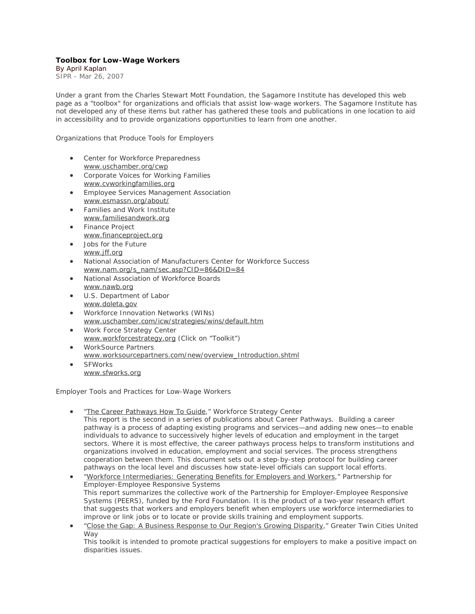## **Toolbox for Low-Wage Workers**

By April Kaplan SIPR - Mar 26, 2007

Under a grant from the Charles Stewart Mott Foundation, the Sagamore Institute has developed this web page as a "toolbox" for organizations and officials that assist low-wage workers. The Sagamore Institute has not developed any of these items but rather has gathered these tools and publications in one location to aid in accessibility and to provide organizations opportunities to learn from one another.

## *Organizations that Produce Tools for Employers*

- Center for Workforce Preparedness www.uschamber.org/cwp
- Corporate Voices for Working Families www.cvworkingfamilies.org
- Employee Services Management Association www.esmassn.org/about/
- Families and Work Institute www.familiesandwork.org
- Finance Project www.financeproject.org
- Jobs for the Future www.jff.org
- National Association of Manufacturers Center for Workforce Success www.nam.org/s\_nam/sec.asp?CID=86&DID=84
- National Association of Workforce Boards www.nawb.org
- U.S. Department of Labor www.doleta.gov
- Workforce Innovation Networks (WINs) www.uschamber.com/icw/strategies/wins/default.htm
- Work Force Strategy Center www.workforcestrategy.org (Click on "Toolkit")
- WorkSource Partners www.worksourcepartners.com/new/overview\_Introduction.shtml • SFWorks
	- www.sfworks.org

## *Employer Tools and Practices for Low-Wage Workers*

- "The Career Pathways How To Guide," Workforce Strategy Center This report is the second in a series of publications about Career Pathways. Building a career pathway is a process of adapting existing programs and services—and adding new ones—to enable individuals to advance to successively higher levels of education and employment in the target sectors. Where it is most effective, the career pathways process helps to transform institutions and organizations involved in education, employment and social services. The process strengthens cooperation between them. This document sets out a step-by-step protocol for building career pathways on the local level and discusses how state-level officials can support local efforts.
- "Workforce Intermediaries: Generating Benefits for Employers and Workers," Partnership for Employer-Employee Responsive Systems This report summarizes the collective work of the Partnership for Employer-Employee Responsive Systems (PEERS), funded by the Ford Foundation. It is the product of a two-year research effort that suggests that workers and employers benefit when employers use workforce intermediaries to improve or link jobs or to locate or provide skills training and employment supports.
- "Close the Gap: A Business Response to Our Region's Growing Disparity," Greater Twin Cities United Way

This toolkit is intended to promote practical suggestions for employers to make a positive impact on disparities issues.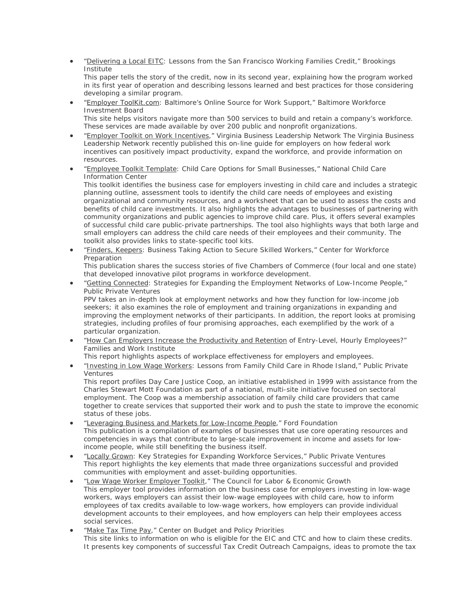• "Delivering a Local EITC: Lessons from the San Francisco Working Families Credit," Brookings Institute

This paper tells the story of the credit, now in its second year, explaining how the program worked in its first year of operation and describing lessons learned and best practices for those considering developing a similar program.

• "Employer ToolKit.com: Baltimore's Online Source for Work Support," Baltimore Workforce Investment Board This site helps visitors navigate more than 500 services to build and retain a company's workforce.

These services are made available by over 200 public and nonprofit organizations.

- "Employer Toolkit on Work Incentives," Virginia Business Leadership Network The Virginia Business Leadership Network recently published this on-line guide for employers on how federal work incentives can positively impact productivity, expand the workforce, and provide information on resources.
- "Employee Toolkit Template: Child Care Options for Small Businesses," National Child Care Information Center

This toolkit identifies the business case for employers investing in child care and includes a strategic planning outline, assessment tools to identify the child care needs of employees and existing organizational and community resources, and a worksheet that can be used to assess the costs and benefits of child care investments. It also highlights the advantages to businesses of partnering with community organizations and public agencies to improve child care. Plus, it offers several examples of successful child care public-private partnerships. The tool also highlights ways that both large and small employers can address the child care needs of their employees and their community. The toolkit also provides links to state-specific tool kits.

• "Finders, Keepers: Business Taking Action to Secure Skilled Workers," Center for Workforce Preparation

This publication shares the success stories of five Chambers of Commerce (four local and one state) that developed innovative pilot programs in workforce development.

• "Getting Connected: Strategies for Expanding the Employment Networks of Low-Income People," Public Private Ventures

PPV takes an in-depth look at employment networks and how they function for low-income job seekers; it also examines the role of employment and training organizations in expanding and improving the employment networks of their participants. In addition, the report looks at promising strategies, including profiles of four promising approaches, each exemplified by the work of a particular organization.

• "How Can Employers Increase the Productivity and Retention of Entry-Level, Hourly Employees?" Families and Work Institute

This report highlights aspects of workplace effectiveness for employers and employees.

• "Investing in Low Wage Workers: Lessons from Family Child Care in Rhode Island," Public Private Ventures

This report profiles Day Care Justice Coop, an initiative established in 1999 with assistance from the Charles Stewart Mott Foundation as part of a national, multi-site initiative focused on sectoral employment. The Coop was a membership association of family child care providers that came together to create services that supported their work and to push the state to improve the economic status of these jobs.

- "Leveraging Business and Markets for Low-Income People," Ford Foundation This publication is a compilation of examples of businesses that use core operating resources and competencies in ways that contribute to large-scale improvement in income and assets for lowincome people, while still benefiting the business itself.
- "Locally Grown: Key Strategies for Expanding Workforce Services," Public Private Ventures This report highlights the key elements that made three organizations successful and provided communities with employment and asset-building opportunities.
- "Low Wage Worker Employer Toolkit," The Council for Labor & Economic Growth This employer tool provides information on the business case for employers investing in low-wage workers, ways employers can assist their low-wage employees with child care, how to inform employees of tax credits available to low-wage workers, how employers can provide individual development accounts to their employees, and how employers can help their employees access social services.
- "Make Tax Time Pay," Center on Budget and Policy Priorities This site links to information on who is eligible for the EIC and CTC and how to claim these credits. It presents key components of successful Tax Credit Outreach Campaigns, ideas to promote the tax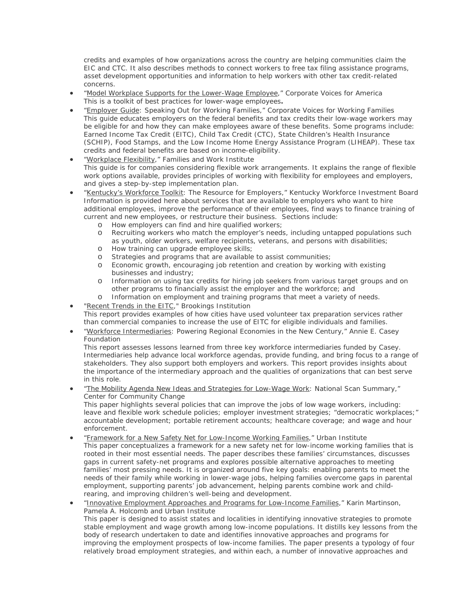credits and examples of how organizations across the country are helping communities claim the EIC and CTC. It also describes methods to connect workers to free tax filing assistance programs, asset development opportunities and information to help workers with other tax credit-related concerns.

- "Model Workplace Supports for the Lower-Wage Employee," Corporate Voices for America This is a toolkit of best practices for lower-wage employees**.**
- "Employer Guide: Speaking Out for Working Families," Corporate Voices for Working Families This guide educates employers on the federal benefits and tax credits their low-wage workers may be eligible for and how they can make employees aware of these benefits. Some programs include: Earned Income Tax Credit (EITC), Child Tax Credit (CTC), State Children's Health Insurance (SCHIP), Food Stamps, and the Low Income Home Energy Assistance Program (LIHEAP). These tax credits and federal benefits are based on income-eligibility.
- "Workplace Flexibility," Families and Work Institute This guide is for companies considering flexible work arrangements. It explains the range of flexible work options available, provides principles of working with flexibility for employees and employers, and gives a step-by-step implementation plan.
- "Kentucky's Workforce Toolkit: The Resource for Employers," Kentucky Workforce Investment Board Information is provided here about services that are available to employers who want to hire additional employees, improve the performance of their employees, find ways to finance training of current and new employees, or restructure their business. Sections include:
	- o How employers can find and hire qualified workers;
	- o Recruiting workers who match the employer's needs, including untapped populations such as youth, older workers, welfare recipients, veterans, and persons with disabilities;
	- o How training can upgrade employee skills;
	- o Strategies and programs that are available to assist communities;<br>o Economic growth, encouraging iob retention and creation by worki
	- Economic growth, encouraging job retention and creation by working with existing businesses and industry;
	- o Information on using tax credits for hiring job seekers from various target groups and on other programs to financially assist the employer and the workforce; and
	- o Information on employment and training programs that meet a variety of needs.
- "Recent Trends in the EITC," Brookings Institution
- This report provides examples of how cities have used volunteer tax preparation services rather than commercial companies to increase the use of EITC for eligible individuals and families.
- "Workforce Intermediaries: Powering Regional Economies in the New Century," Annie E. Casey Foundation

This report assesses lessons learned from three key workforce intermediaries funded by Casey. Intermediaries help advance local workforce agendas, provide funding, and bring focus to a range of stakeholders. They also support both employers and workers. This report provides insights about the importance of the intermediary approach and the qualities of organizations that can best serve in this role.

• "The Mobility Agenda New Ideas and Strategies for Low-Wage Work: National Scan Summary," Center for Community Change

This paper highlights several policies that can improve the jobs of low wage workers, including: leave and flexible work schedule policies; employer investment strategies; "democratic workplaces;" accountable development; portable retirement accounts; healthcare coverage; and wage and hour enforcement.

- "Framework for a New Safety Net for Low-Income Working Families," Urban Institute This paper conceptualizes a framework for a new safety net for low-income working families that is rooted in their most essential needs. The paper describes these families' circumstances, discusses gaps in current safety-net programs and explores possible alternative approaches to meeting families' most pressing needs. It is organized around five key goals: enabling parents to meet the needs of their family while working in lower-wage jobs, helping families overcome gaps in parental employment, supporting parents' job advancement, helping parents combine work and childrearing, and improving children's well-being and development.
- "Innovative Employment Approaches and Programs for Low-Income Families," Karin Martinson, Pamela A. Holcomb and Urban Institute This paper is designed to assist states and localities in identifying innovative strategies to promote stable employment and wage growth among low-income populations. It distills key lessons from the body of research undertaken to date and identifies innovative approaches and programs for improving the employment prospects of low-income families. The paper presents a typology of four

relatively broad employment strategies, and within each, a number of innovative approaches and